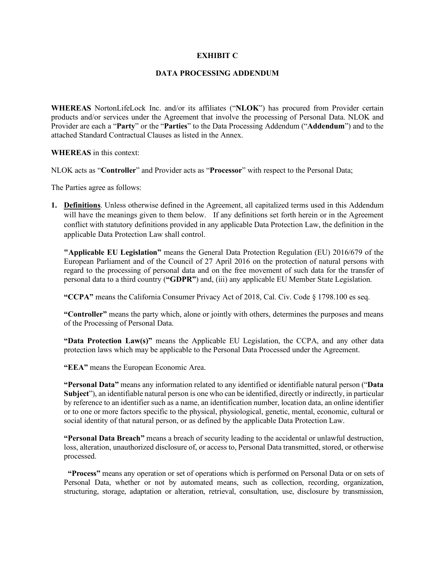### **EXHIBIT C**

#### **DATA PROCESSING ADDENDUM**

**WHEREAS** NortonLifeLock Inc. and/or its affiliates ("**NLOK**") has procured from Provider certain products and/or services under the Agreement that involve the processing of Personal Data. NLOK and Provider are each a "**Party**" or the "**Parties**" to the Data Processing Addendum ("**Addendum**") and to the attached Standard Contractual Clauses as listed in the Annex.

**WHEREAS** in this context:

NLOK acts as "**Controller**" and Provider acts as "**Processor**" with respect to the Personal Data;

The Parties agree as follows:

**1. Definitions**. Unless otherwise defined in the Agreement, all capitalized terms used in this Addendum will have the meanings given to them below. If any definitions set forth herein or in the Agreement conflict with statutory definitions provided in any applicable Data Protection Law, the definition in the applicable Data Protection Law shall control.

**"Applicable EU Legislation"** means the General Data Protection Regulation (EU) 2016/679 of the European Parliament and of the Council of 27 April 2016 on the protection of natural persons with regard to the processing of personal data and on the free movement of such data for the transfer of personal data to a third country (**"GDPR"**) and, (iii) any applicable EU Member State Legislation.

**"CCPA"** means the California Consumer Privacy Act of 2018, Cal. Civ. Code § 1798.100 es seq.

**"Controller"** means the party which, alone or jointly with others, determines the purposes and means of the Processing of Personal Data.

**"Data Protection Law(s)"** means the Applicable EU Legislation, the CCPA, and any other data protection laws which may be applicable to the Personal Data Processed under the Agreement.

**"EEA"** means the European Economic Area.

**"Personal Data"** means any information related to any identified or identifiable natural person ("**Data Subject**"), an identifiable natural person is one who can be identified, directly or indirectly, in particular by reference to an identifier such as a name, an identification number, location data, an online identifier or to one or more factors specific to the physical, physiological, genetic, mental, economic, cultural or social identity of that natural person, or as defined by the applicable Data Protection Law.

**"Personal Data Breach"** means a breach of security leading to the accidental or unlawful destruction, loss, alteration, unauthorized disclosure of, or access to, Personal Data transmitted, stored, or otherwise processed.

 **"Process"** means any operation or set of operations which is performed on Personal Data or on sets of Personal Data, whether or not by automated means, such as collection, recording, organization, structuring, storage, adaptation or alteration, retrieval, consultation, use, disclosure by transmission,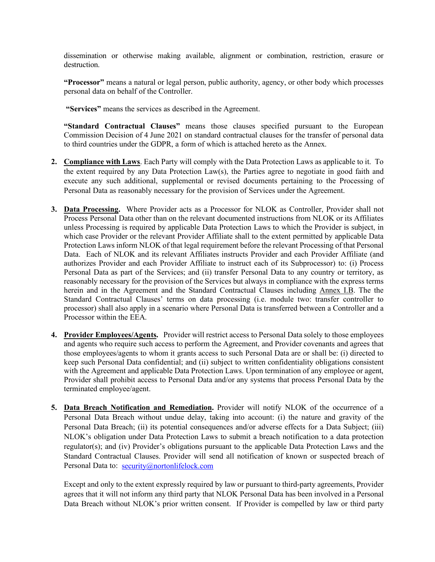dissemination or otherwise making available, alignment or combination, restriction, erasure or destruction.

**"Processor"** means a natural or legal person, public authority, agency, or other body which processes personal data on behalf of the Controller.

**"Services"** means the services as described in the Agreement.

**"Standard Contractual Clauses"** means those clauses specified pursuant to the European Commission Decision of 4 June 2021 on standard contractual clauses for the transfer of personal data to third countries under the GDPR, a form of which is attached hereto as the Annex.

- **2. Compliance with Laws**. Each Party will comply with the Data Protection Laws as applicable to it. To the extent required by any Data Protection Law(s), the Parties agree to negotiate in good faith and execute any such additional, supplemental or revised documents pertaining to the Processing of Personal Data as reasonably necessary for the provision of Services under the Agreement.
- **3. Data Processing.** Where Provider acts as a Processor for NLOK as Controller, Provider shall not Process Personal Data other than on the relevant documented instructions from NLOK or its Affiliates unless Processing is required by applicable Data Protection Laws to which the Provider is subject, in which case Provider or the relevant Provider Affiliate shall to the extent permitted by applicable Data Protection Laws inform NLOK of that legal requirement before the relevant Processing of that Personal Data. Each of NLOK and its relevant Affiliates instructs Provider and each Provider Affiliate (and authorizes Provider and each Provider Affiliate to instruct each of its Subprocessor) to: (i) Process Personal Data as part of the Services; and (ii) transfer Personal Data to any country or territory, as reasonably necessary for the provision of the Services but always in compliance with the express terms herein and in the Agreement and the Standard Contractual Clauses including Annex I.B. The the Standard Contractual Clauses' terms on data processing (i.e. module two: transfer controller to processor) shall also apply in a scenario where Personal Data is transferred between a Controller and a Processor within the EEA.
- **4. Provider Employees/Agents.** Provider will restrict access to Personal Data solely to those employees and agents who require such access to perform the Agreement, and Provider covenants and agrees that those employees/agents to whom it grants access to such Personal Data are or shall be: (i) directed to keep such Personal Data confidential; and (ii) subject to written confidentiality obligations consistent with the Agreement and applicable Data Protection Laws. Upon termination of any employee or agent, Provider shall prohibit access to Personal Data and/or any systems that process Personal Data by the terminated employee/agent.
- **5. Data Breach Notification and Remediation.** Provider will notify NLOK of the occurrence of a Personal Data Breach without undue delay, taking into account: (i) the nature and gravity of the Personal Data Breach; (ii) its potential consequences and/or adverse effects for a Data Subject; (iii) NLOK's obligation under Data Protection Laws to submit a breach notification to a data protection regulator(s); and (iv) Provider's obligations pursuant to the applicable Data Protection Laws and the Standard Contractual Clauses. Provider will send all notification of known or suspected breach of Personal Data to: [security@nortonlifelock.com](mailto:security@nortonlifelock.com)

Except and only to the extent expressly required by law or pursuant to third-party agreements, Provider agrees that it will not inform any third party that NLOK Personal Data has been involved in a Personal Data Breach without NLOK's prior written consent. If Provider is compelled by law or third party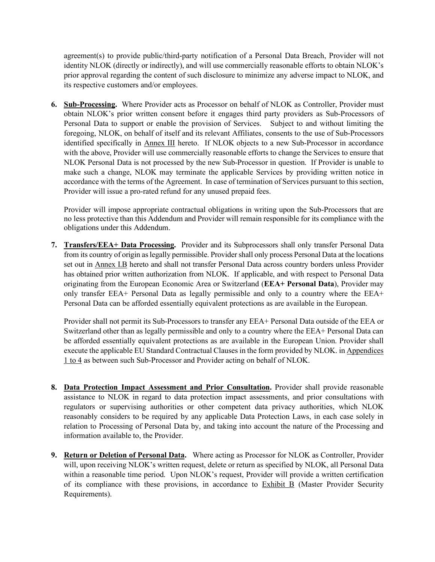agreement(s) to provide public/third-party notification of a Personal Data Breach, Provider will not identity NLOK (directly or indirectly), and will use commercially reasonable efforts to obtain NLOK's prior approval regarding the content of such disclosure to minimize any adverse impact to NLOK, and its respective customers and/or employees.

**6. Sub-Processing.** Where Provider acts as Processor on behalf of NLOK as Controller, Provider must obtain NLOK's prior written consent before it engages third party providers as Sub-Processors of Personal Data to support or enable the provision of Services. Subject to and without limiting the foregoing, NLOK, on behalf of itself and its relevant Affiliates, consents to the use of Sub-Processors identified specifically in Annex III hereto. If NLOK objects to a new Sub-Processor in accordance with the above, Provider will use commercially reasonable efforts to change the Services to ensure that NLOK Personal Data is not processed by the new Sub-Processor in question. If Provider is unable to make such a change, NLOK may terminate the applicable Services by providing written notice in accordance with the terms of the Agreement. In case of termination of Services pursuant to this section, Provider will issue a pro-rated refund for any unused prepaid fees.

Provider will impose appropriate contractual obligations in writing upon the Sub-Processors that are no less protective than this Addendum and Provider will remain responsible for its compliance with the obligations under this Addendum.

**7. Transfers/EEA+ Data Processing.** Provider and its Subprocessors shall only transfer Personal Data from its country of origin as legally permissible. Provider shall only process Personal Data at the locations set out in Annex I.B hereto and shall not transfer Personal Data across country borders unless Provider has obtained prior written authorization from NLOK. If applicable, and with respect to Personal Data originating from the European Economic Area or Switzerland (**EEA+ Personal Data**), Provider may only transfer EEA+ Personal Data as legally permissible and only to a country where the EEA+ Personal Data can be afforded essentially equivalent protections as are available in the European.

Provider shall not permit its Sub-Processors to transfer any EEA+ Personal Data outside of the EEA or Switzerland other than as legally permissible and only to a country where the EEA+ Personal Data can be afforded essentially equivalent protections as are available in the European Union. Provider shall execute the applicable EU Standard Contractual Clauses in the form provided by NLOK. in Appendices 1 to 4 as between such Sub-Processor and Provider acting on behalf of NLOK.

- **8. Data Protection Impact Assessment and Prior Consultation.** Provider shall provide reasonable assistance to NLOK in regard to data protection impact assessments, and prior consultations with regulators or supervising authorities or other competent data privacy authorities, which NLOK reasonably considers to be required by any applicable Data Protection Laws, in each case solely in relation to Processing of Personal Data by, and taking into account the nature of the Processing and information available to, the Provider.
- **9. Return or Deletion of Personal Data.** Where acting as Processor for NLOK as Controller, Provider will, upon receiving NLOK's written request, delete or return as specified by NLOK, all Personal Data within a reasonable time period. Upon NLOK's request, Provider will provide a written certification of its compliance with these provisions, in accordance to Exhibit B (Master Provider Security Requirements).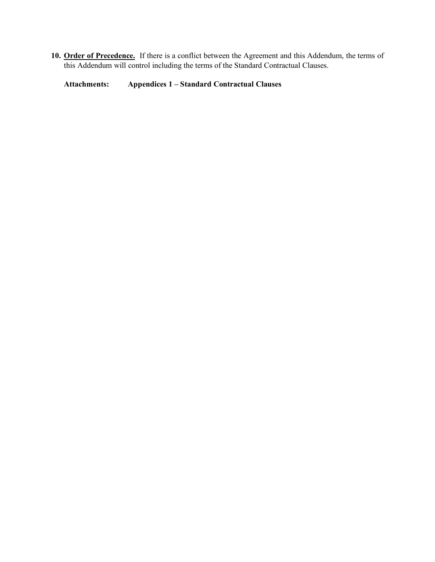**10. Order of Precedence.** If there is a conflict between the Agreement and this Addendum, the terms of this Addendum will control including the terms of the Standard Contractual Clauses.

**Attachments: Appendices 1 – Standard Contractual Clauses**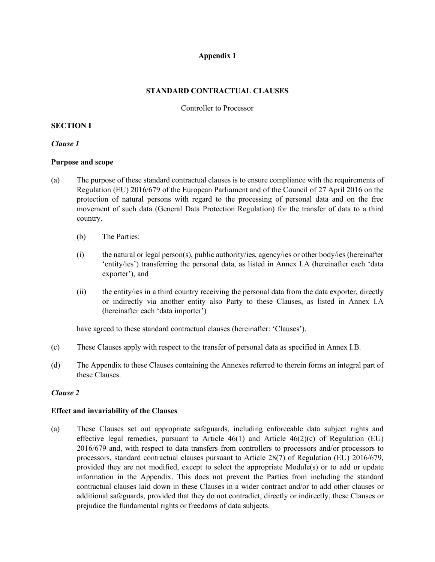### **Appendix 1**

### **STANDARD CONTRACTUAL CLAUSES**

Controller to Processor

### **SECTION I**

### *Clause 1*

### **Purpose and scope**

- (a) The purpose of these standard contractual clauses is to ensure compliance with the requirements of Regulation (EU) 2016/679 of the European Parliament and of the Council of 27 April 2016 on the protection of natural persons with regard to the processing of personal data and on the free movement of such data (General Data Protection Regulation) for the transfer of data to a third country.
	- (b) The Parties:
	- (i) the natural or legal person(s), public authority/ies, agency/ies or other body/ies (hereinafter 'entity/ies') transferring the personal data, as listed in Annex I.A (hereinafter each 'data exporter'), and
	- (ii) the entity/ies in a third country receiving the personal data from the data exporter, directly or indirectly via another entity also Party to these Clauses, as listed in Annex I.A (hereinafter each 'data importer')

have agreed to these standard contractual clauses (hereinafter: 'Clauses').

- (c) These Clauses apply with respect to the transfer of personal data as specified in Annex I.B.
- (d) The Appendix to these Clauses containing the Annexes referred to therein forms an integral part of these Clauses.

### *Clause 2*

### **Effect and invariability of the Clauses**

(a) These Clauses set out appropriate safeguards, including enforceable data subject rights and effective legal remedies, pursuant to Article  $46(1)$  and Article  $46(2)(c)$  of Regulation (EU) 2016/679 and, with respect to data transfers from controllers to processors and/or processors to processors, standard contractual clauses pursuant to Article 28(7) of Regulation (EU) 2016/679, provided they are not modified, except to select the appropriate Module(s) or to add or update information in the Appendix. This does not prevent the Parties from including the standard contractual clauses laid down in these Clauses in a wider contract and/or to add other clauses or additional safeguards, provided that they do not contradict, directly or indirectly, these Clauses or prejudice the fundamental rights or freedoms of data subjects.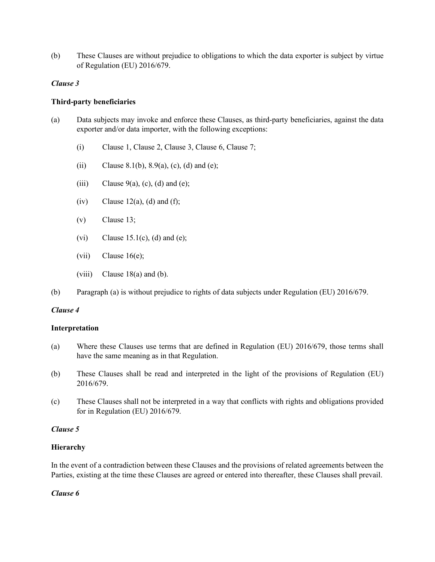(b) These Clauses are without prejudice to obligations to which the data exporter is subject by virtue of Regulation (EU) 2016/679.

### *Clause 3*

# **Third-party beneficiaries**

- (a) Data subjects may invoke and enforce these Clauses, as third-party beneficiaries, against the data exporter and/or data importer, with the following exceptions:
	- (i) Clause 1, Clause 2, Clause 3, Clause 6, Clause 7;
	- (ii) Clause 8.1(b), 8.9(a), (c), (d) and (e);
	- (iii) Clause  $9(a)$ , (c), (d) and (e);
	- (iv) Clause  $12(a)$ , (d) and (f);
	- (v) Clause 13;
	- (vi) Clause 15.1(c), (d) and (e);
	- (vii) Clause  $16(e)$ ;
	- (viii) Clause  $18(a)$  and (b).
- (b) Paragraph (a) is without prejudice to rights of data subjects under Regulation (EU) 2016/679.

### *Clause 4*

### **Interpretation**

- (a) Where these Clauses use terms that are defined in Regulation (EU) 2016/679, those terms shall have the same meaning as in that Regulation.
- (b) These Clauses shall be read and interpreted in the light of the provisions of Regulation (EU) 2016/679.
- (c) These Clauses shall not be interpreted in a way that conflicts with rights and obligations provided for in Regulation (EU) 2016/679.

### *Clause 5*

### **Hierarchy**

In the event of a contradiction between these Clauses and the provisions of related agreements between the Parties, existing at the time these Clauses are agreed or entered into thereafter, these Clauses shall prevail.

### *Clause 6*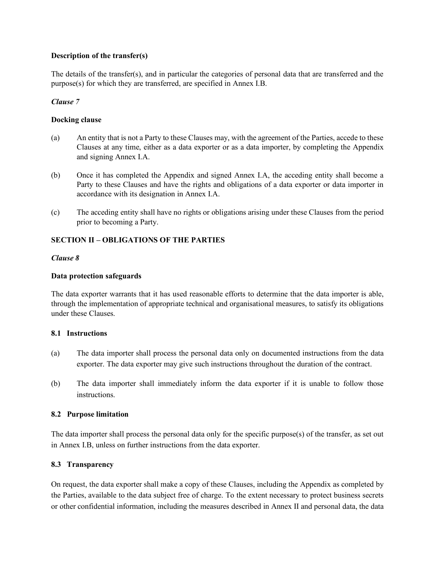### **Description of the transfer(s)**

The details of the transfer(s), and in particular the categories of personal data that are transferred and the purpose(s) for which they are transferred, are specified in Annex I.B.

# *Clause 7*

### **Docking clause**

- (a) An entity that is not a Party to these Clauses may, with the agreement of the Parties, accede to these Clauses at any time, either as a data exporter or as a data importer, by completing the Appendix and signing Annex I.A.
- (b) Once it has completed the Appendix and signed Annex I.A, the acceding entity shall become a Party to these Clauses and have the rights and obligations of a data exporter or data importer in accordance with its designation in Annex I.A.
- (c) The acceding entity shall have no rights or obligations arising under these Clauses from the period prior to becoming a Party.

# **SECTION II – OBLIGATIONS OF THE PARTIES**

### *Clause 8*

### **Data protection safeguards**

The data exporter warrants that it has used reasonable efforts to determine that the data importer is able, through the implementation of appropriate technical and organisational measures, to satisfy its obligations under these Clauses.

### **8.1 Instructions**

- (a) The data importer shall process the personal data only on documented instructions from the data exporter. The data exporter may give such instructions throughout the duration of the contract.
- (b) The data importer shall immediately inform the data exporter if it is unable to follow those instructions.

### **8.2 Purpose limitation**

The data importer shall process the personal data only for the specific purpose(s) of the transfer, as set out in Annex I.B, unless on further instructions from the data exporter.

### **8.3 Transparency**

On request, the data exporter shall make a copy of these Clauses, including the Appendix as completed by the Parties, available to the data subject free of charge. To the extent necessary to protect business secrets or other confidential information, including the measures described in Annex II and personal data, the data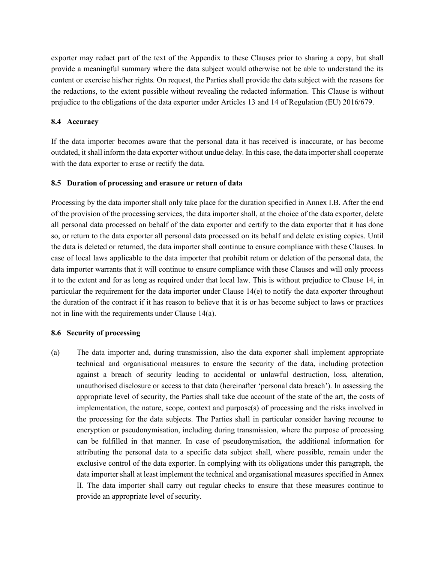exporter may redact part of the text of the Appendix to these Clauses prior to sharing a copy, but shall provide a meaningful summary where the data subject would otherwise not be able to understand the its content or exercise his/her rights. On request, the Parties shall provide the data subject with the reasons for the redactions, to the extent possible without revealing the redacted information. This Clause is without prejudice to the obligations of the data exporter under Articles 13 and 14 of Regulation (EU) 2016/679.

#### **8.4 Accuracy**

If the data importer becomes aware that the personal data it has received is inaccurate, or has become outdated, it shall inform the data exporter without undue delay. In this case, the data importer shall cooperate with the data exporter to erase or rectify the data.

#### **8.5 Duration of processing and erasure or return of data**

Processing by the data importer shall only take place for the duration specified in Annex I.B. After the end of the provision of the processing services, the data importer shall, at the choice of the data exporter, delete all personal data processed on behalf of the data exporter and certify to the data exporter that it has done so, or return to the data exporter all personal data processed on its behalf and delete existing copies. Until the data is deleted or returned, the data importer shall continue to ensure compliance with these Clauses. In case of local laws applicable to the data importer that prohibit return or deletion of the personal data, the data importer warrants that it will continue to ensure compliance with these Clauses and will only process it to the extent and for as long as required under that local law. This is without prejudice to Clause 14, in particular the requirement for the data importer under Clause 14(e) to notify the data exporter throughout the duration of the contract if it has reason to believe that it is or has become subject to laws or practices not in line with the requirements under Clause 14(a).

#### **8.6 Security of processing**

(a) The data importer and, during transmission, also the data exporter shall implement appropriate technical and organisational measures to ensure the security of the data, including protection against a breach of security leading to accidental or unlawful destruction, loss, alteration, unauthorised disclosure or access to that data (hereinafter 'personal data breach'). In assessing the appropriate level of security, the Parties shall take due account of the state of the art, the costs of implementation, the nature, scope, context and purpose(s) of processing and the risks involved in the processing for the data subjects. The Parties shall in particular consider having recourse to encryption or pseudonymisation, including during transmission, where the purpose of processing can be fulfilled in that manner. In case of pseudonymisation, the additional information for attributing the personal data to a specific data subject shall, where possible, remain under the exclusive control of the data exporter. In complying with its obligations under this paragraph, the data importer shall at least implement the technical and organisational measures specified in Annex II. The data importer shall carry out regular checks to ensure that these measures continue to provide an appropriate level of security.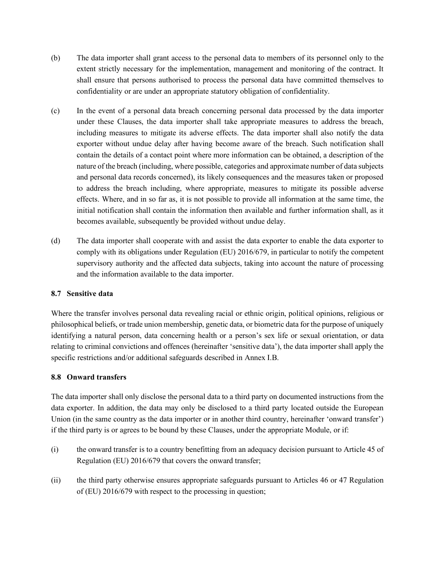- (b) The data importer shall grant access to the personal data to members of its personnel only to the extent strictly necessary for the implementation, management and monitoring of the contract. It shall ensure that persons authorised to process the personal data have committed themselves to confidentiality or are under an appropriate statutory obligation of confidentiality.
- (c) In the event of a personal data breach concerning personal data processed by the data importer under these Clauses, the data importer shall take appropriate measures to address the breach, including measures to mitigate its adverse effects. The data importer shall also notify the data exporter without undue delay after having become aware of the breach. Such notification shall contain the details of a contact point where more information can be obtained, a description of the nature of the breach (including, where possible, categories and approximate number of data subjects and personal data records concerned), its likely consequences and the measures taken or proposed to address the breach including, where appropriate, measures to mitigate its possible adverse effects. Where, and in so far as, it is not possible to provide all information at the same time, the initial notification shall contain the information then available and further information shall, as it becomes available, subsequently be provided without undue delay.
- (d) The data importer shall cooperate with and assist the data exporter to enable the data exporter to comply with its obligations under Regulation (EU) 2016/679, in particular to notify the competent supervisory authority and the affected data subjects, taking into account the nature of processing and the information available to the data importer.

### **8.7 Sensitive data**

Where the transfer involves personal data revealing racial or ethnic origin, political opinions, religious or philosophical beliefs, or trade union membership, genetic data, or biometric data for the purpose of uniquely identifying a natural person, data concerning health or a person's sex life or sexual orientation, or data relating to criminal convictions and offences (hereinafter 'sensitive data'), the data importer shall apply the specific restrictions and/or additional safeguards described in Annex I.B.

### **8.8 Onward transfers**

The data importer shall only disclose the personal data to a third party on documented instructions from the data exporter. In addition, the data may only be disclosed to a third party located outside the European Union (in the same country as the data importer or in another third country, hereinafter 'onward transfer') if the third party is or agrees to be bound by these Clauses, under the appropriate Module, or if:

- (i) the onward transfer is to a country benefitting from an adequacy decision pursuant to Article 45 of Regulation (EU) 2016/679 that covers the onward transfer;
- (ii) the third party otherwise ensures appropriate safeguards pursuant to Articles 46 or 47 Regulation of (EU) 2016/679 with respect to the processing in question;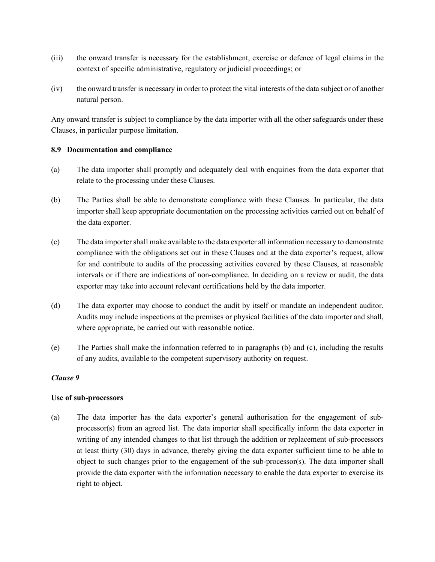- (iii) the onward transfer is necessary for the establishment, exercise or defence of legal claims in the context of specific administrative, regulatory or judicial proceedings; or
- (iv) the onward transfer is necessary in order to protect the vital interests of the data subject or of another natural person.

Any onward transfer is subject to compliance by the data importer with all the other safeguards under these Clauses, in particular purpose limitation.

### **8.9 Documentation and compliance**

- (a) The data importer shall promptly and adequately deal with enquiries from the data exporter that relate to the processing under these Clauses.
- (b) The Parties shall be able to demonstrate compliance with these Clauses. In particular, the data importer shall keep appropriate documentation on the processing activities carried out on behalf of the data exporter.
- (c) The data importer shall make available to the data exporter all information necessary to demonstrate compliance with the obligations set out in these Clauses and at the data exporter's request, allow for and contribute to audits of the processing activities covered by these Clauses, at reasonable intervals or if there are indications of non-compliance. In deciding on a review or audit, the data exporter may take into account relevant certifications held by the data importer.
- (d) The data exporter may choose to conduct the audit by itself or mandate an independent auditor. Audits may include inspections at the premises or physical facilities of the data importer and shall, where appropriate, be carried out with reasonable notice.
- (e) The Parties shall make the information referred to in paragraphs (b) and (c), including the results of any audits, available to the competent supervisory authority on request.

# *Clause 9*

### **Use of sub-processors**

(a) The data importer has the data exporter's general authorisation for the engagement of subprocessor(s) from an agreed list. The data importer shall specifically inform the data exporter in writing of any intended changes to that list through the addition or replacement of sub-processors at least thirty (30) days in advance, thereby giving the data exporter sufficient time to be able to object to such changes prior to the engagement of the sub-processor(s). The data importer shall provide the data exporter with the information necessary to enable the data exporter to exercise its right to object.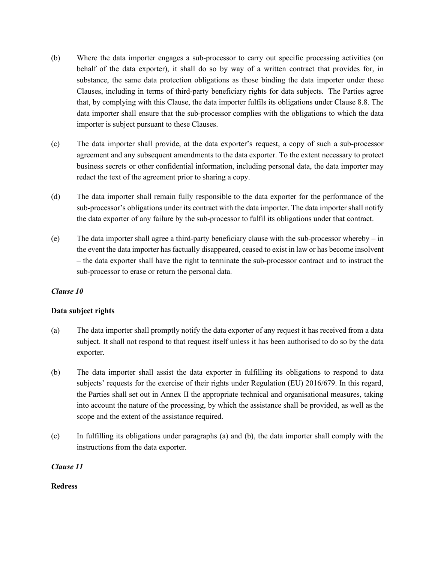- (b) Where the data importer engages a sub-processor to carry out specific processing activities (on behalf of the data exporter), it shall do so by way of a written contract that provides for, in substance, the same data protection obligations as those binding the data importer under these Clauses, including in terms of third-party beneficiary rights for data subjects. The Parties agree that, by complying with this Clause, the data importer fulfils its obligations under Clause 8.8. The data importer shall ensure that the sub-processor complies with the obligations to which the data importer is subject pursuant to these Clauses.
- (c) The data importer shall provide, at the data exporter's request, a copy of such a sub-processor agreement and any subsequent amendments to the data exporter. To the extent necessary to protect business secrets or other confidential information, including personal data, the data importer may redact the text of the agreement prior to sharing a copy.
- (d) The data importer shall remain fully responsible to the data exporter for the performance of the sub-processor's obligations under its contract with the data importer. The data importer shall notify the data exporter of any failure by the sub-processor to fulfil its obligations under that contract.
- (e) The data importer shall agree a third-party beneficiary clause with the sub-processor whereby in the event the data importer has factually disappeared, ceased to exist in law or has become insolvent – the data exporter shall have the right to terminate the sub-processor contract and to instruct the sub-processor to erase or return the personal data.

# *Clause 10*

# **Data subject rights**

- (a) The data importer shall promptly notify the data exporter of any request it has received from a data subject. It shall not respond to that request itself unless it has been authorised to do so by the data exporter.
- (b) The data importer shall assist the data exporter in fulfilling its obligations to respond to data subjects' requests for the exercise of their rights under Regulation (EU) 2016/679. In this regard, the Parties shall set out in Annex II the appropriate technical and organisational measures, taking into account the nature of the processing, by which the assistance shall be provided, as well as the scope and the extent of the assistance required.
- (c) In fulfilling its obligations under paragraphs (a) and (b), the data importer shall comply with the instructions from the data exporter.

# *Clause 11*

**Redress**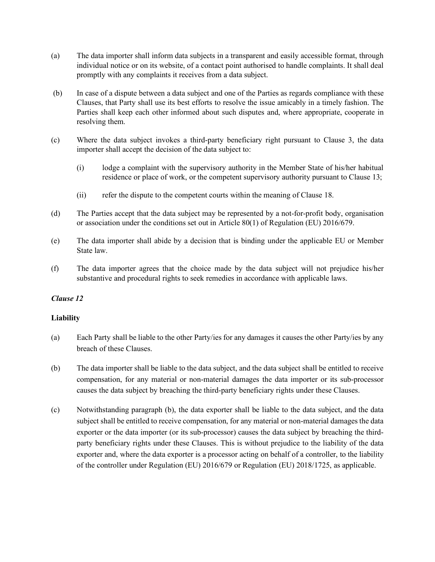- (a) The data importer shall inform data subjects in a transparent and easily accessible format, through individual notice or on its website, of a contact point authorised to handle complaints. It shall deal promptly with any complaints it receives from a data subject.
- (b) In case of a dispute between a data subject and one of the Parties as regards compliance with these Clauses, that Party shall use its best efforts to resolve the issue amicably in a timely fashion. The Parties shall keep each other informed about such disputes and, where appropriate, cooperate in resolving them.
- (c) Where the data subject invokes a third-party beneficiary right pursuant to Clause 3, the data importer shall accept the decision of the data subject to:
	- (i) lodge a complaint with the supervisory authority in the Member State of his/her habitual residence or place of work, or the competent supervisory authority pursuant to Clause 13;
	- (ii) refer the dispute to the competent courts within the meaning of Clause 18.
- (d) The Parties accept that the data subject may be represented by a not-for-profit body, organisation or association under the conditions set out in Article 80(1) of Regulation (EU) 2016/679.
- (e) The data importer shall abide by a decision that is binding under the applicable EU or Member State law.
- (f) The data importer agrees that the choice made by the data subject will not prejudice his/her substantive and procedural rights to seek remedies in accordance with applicable laws.

### *Clause 12*

### **Liability**

- (a) Each Party shall be liable to the other Party/ies for any damages it causes the other Party/ies by any breach of these Clauses.
- (b) The data importer shall be liable to the data subject, and the data subject shall be entitled to receive compensation, for any material or non-material damages the data importer or its sub-processor causes the data subject by breaching the third-party beneficiary rights under these Clauses.
- (c) Notwithstanding paragraph (b), the data exporter shall be liable to the data subject, and the data subject shall be entitled to receive compensation, for any material or non-material damages the data exporter or the data importer (or its sub-processor) causes the data subject by breaching the thirdparty beneficiary rights under these Clauses. This is without prejudice to the liability of the data exporter and, where the data exporter is a processor acting on behalf of a controller, to the liability of the controller under Regulation (EU) 2016/679 or Regulation (EU) 2018/1725, as applicable.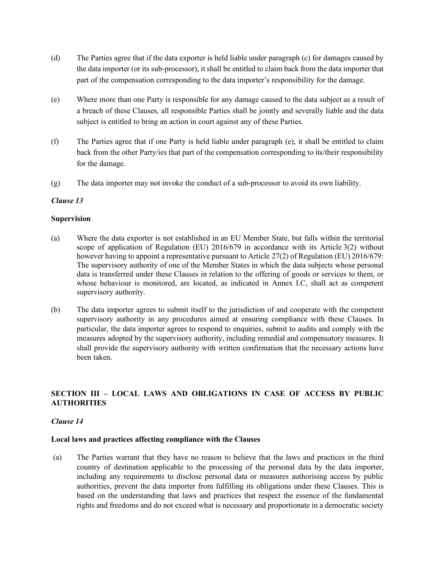- (d) The Parties agree that if the data exporter is held liable under paragraph (c) for damages caused by the data importer (or its sub-processor), it shall be entitled to claim back from the data importer that part of the compensation corresponding to the data importer's responsibility for the damage.
- (e) Where more than one Party is responsible for any damage caused to the data subject as a result of a breach of these Clauses, all responsible Parties shall be jointly and severally liable and the data subject is entitled to bring an action in court against any of these Parties.
- (f) The Parties agree that if one Party is held liable under paragraph (e), it shall be entitled to claim back from the other Party/ies that part of the compensation corresponding to its/their responsibility for the damage.
- (g) The data importer may not invoke the conduct of a sub-processor to avoid its own liability.

### *Clause 13*

### **Supervision**

- (a) Where the data exporter is not established in an EU Member State, but falls within the territorial scope of application of Regulation (EU) 2016/679 in accordance with its Article 3(2) without however having to appoint a representative pursuant to Article 27(2) of Regulation (EU) 2016/679: The supervisory authority of one of the Member States in which the data subjects whose personal data is transferred under these Clauses in relation to the offering of goods or services to them, or whose behaviour is monitored, are located, as indicated in Annex I.C, shall act as competent supervisory authority.
- (b) The data importer agrees to submit itself to the jurisdiction of and cooperate with the competent supervisory authority in any procedures aimed at ensuring compliance with these Clauses. In particular, the data importer agrees to respond to enquiries, submit to audits and comply with the measures adopted by the supervisory authority, including remedial and compensatory measures. It shall provide the supervisory authority with written confirmation that the necessary actions have been taken.

# **SECTION III – LOCAL LAWS AND OBLIGATIONS IN CASE OF ACCESS BY PUBLIC AUTHORITIES**

### *Clause 14*

### **Local laws and practices affecting compliance with the Clauses**

(a) The Parties warrant that they have no reason to believe that the laws and practices in the third country of destination applicable to the processing of the personal data by the data importer, including any requirements to disclose personal data or measures authorising access by public authorities, prevent the data importer from fulfilling its obligations under these Clauses. This is based on the understanding that laws and practices that respect the essence of the fundamental rights and freedoms and do not exceed what is necessary and proportionate in a democratic society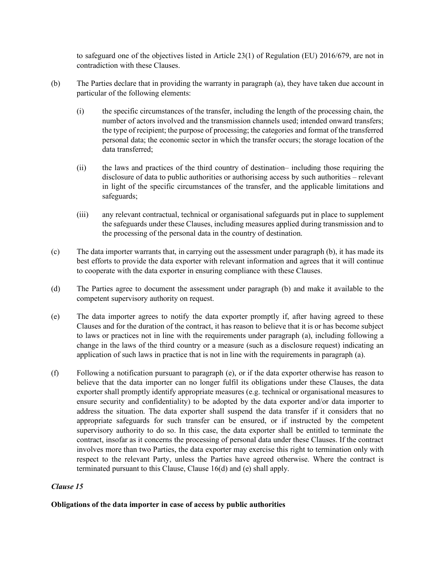to safeguard one of the objectives listed in Article 23(1) of Regulation (EU) 2016/679, are not in contradiction with these Clauses.

- (b) The Parties declare that in providing the warranty in paragraph (a), they have taken due account in particular of the following elements:
	- (i) the specific circumstances of the transfer, including the length of the processing chain, the number of actors involved and the transmission channels used; intended onward transfers; the type of recipient; the purpose of processing; the categories and format of the transferred personal data; the economic sector in which the transfer occurs; the storage location of the data transferred;
	- (ii) the laws and practices of the third country of destination– including those requiring the disclosure of data to public authorities or authorising access by such authorities – relevant in light of the specific circumstances of the transfer, and the applicable limitations and safeguards;
	- (iii) any relevant contractual, technical or organisational safeguards put in place to supplement the safeguards under these Clauses, including measures applied during transmission and to the processing of the personal data in the country of destination.
- (c) The data importer warrants that, in carrying out the assessment under paragraph (b), it has made its best efforts to provide the data exporter with relevant information and agrees that it will continue to cooperate with the data exporter in ensuring compliance with these Clauses.
- (d) The Parties agree to document the assessment under paragraph (b) and make it available to the competent supervisory authority on request.
- (e) The data importer agrees to notify the data exporter promptly if, after having agreed to these Clauses and for the duration of the contract, it has reason to believe that it is or has become subject to laws or practices not in line with the requirements under paragraph (a), including following a change in the laws of the third country or a measure (such as a disclosure request) indicating an application of such laws in practice that is not in line with the requirements in paragraph (a).
- (f) Following a notification pursuant to paragraph (e), or if the data exporter otherwise has reason to believe that the data importer can no longer fulfil its obligations under these Clauses, the data exporter shall promptly identify appropriate measures (e.g. technical or organisational measures to ensure security and confidentiality) to be adopted by the data exporter and/or data importer to address the situation. The data exporter shall suspend the data transfer if it considers that no appropriate safeguards for such transfer can be ensured, or if instructed by the competent supervisory authority to do so. In this case, the data exporter shall be entitled to terminate the contract, insofar as it concerns the processing of personal data under these Clauses. If the contract involves more than two Parties, the data exporter may exercise this right to termination only with respect to the relevant Party, unless the Parties have agreed otherwise. Where the contract is terminated pursuant to this Clause, Clause 16(d) and (e) shall apply.

# *Clause 15*

### **Obligations of the data importer in case of access by public authorities**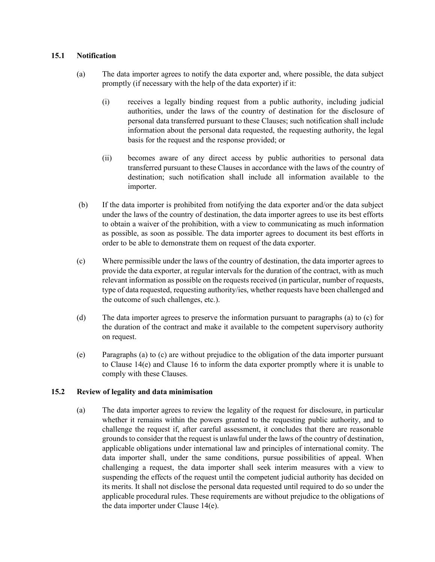### **15.1 Notification**

- (a) The data importer agrees to notify the data exporter and, where possible, the data subject promptly (if necessary with the help of the data exporter) if it:
	- (i) receives a legally binding request from a public authority, including judicial authorities, under the laws of the country of destination for the disclosure of personal data transferred pursuant to these Clauses; such notification shall include information about the personal data requested, the requesting authority, the legal basis for the request and the response provided; or
	- (ii) becomes aware of any direct access by public authorities to personal data transferred pursuant to these Clauses in accordance with the laws of the country of destination; such notification shall include all information available to the importer.
- (b) If the data importer is prohibited from notifying the data exporter and/or the data subject under the laws of the country of destination, the data importer agrees to use its best efforts to obtain a waiver of the prohibition, with a view to communicating as much information as possible, as soon as possible. The data importer agrees to document its best efforts in order to be able to demonstrate them on request of the data exporter.
- (c) Where permissible under the laws of the country of destination, the data importer agrees to provide the data exporter, at regular intervals for the duration of the contract, with as much relevant information as possible on the requests received (in particular, number of requests, type of data requested, requesting authority/ies, whether requests have been challenged and the outcome of such challenges, etc.).
- (d) The data importer agrees to preserve the information pursuant to paragraphs (a) to (c) for the duration of the contract and make it available to the competent supervisory authority on request.
- (e) Paragraphs (a) to (c) are without prejudice to the obligation of the data importer pursuant to Clause 14(e) and Clause 16 to inform the data exporter promptly where it is unable to comply with these Clauses.

### **15.2 Review of legality and data minimisation**

(a) The data importer agrees to review the legality of the request for disclosure, in particular whether it remains within the powers granted to the requesting public authority, and to challenge the request if, after careful assessment, it concludes that there are reasonable grounds to consider that the request is unlawful under the laws of the country of destination, applicable obligations under international law and principles of international comity. The data importer shall, under the same conditions, pursue possibilities of appeal. When challenging a request, the data importer shall seek interim measures with a view to suspending the effects of the request until the competent judicial authority has decided on its merits. It shall not disclose the personal data requested until required to do so under the applicable procedural rules. These requirements are without prejudice to the obligations of the data importer under Clause 14(e).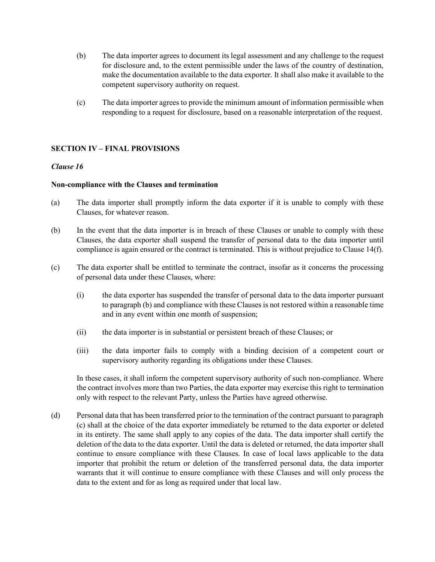- (b) The data importer agrees to document its legal assessment and any challenge to the request for disclosure and, to the extent permissible under the laws of the country of destination, make the documentation available to the data exporter. It shall also make it available to the competent supervisory authority on request.
- (c) The data importer agrees to provide the minimum amount of information permissible when responding to a request for disclosure, based on a reasonable interpretation of the request.

# **SECTION IV – FINAL PROVISIONS**

### *Clause 16*

#### **Non-compliance with the Clauses and termination**

- (a) The data importer shall promptly inform the data exporter if it is unable to comply with these Clauses, for whatever reason.
- (b) In the event that the data importer is in breach of these Clauses or unable to comply with these Clauses, the data exporter shall suspend the transfer of personal data to the data importer until compliance is again ensured or the contract is terminated. This is without prejudice to Clause 14(f).
- (c) The data exporter shall be entitled to terminate the contract, insofar as it concerns the processing of personal data under these Clauses, where:
	- (i) the data exporter has suspended the transfer of personal data to the data importer pursuant to paragraph (b) and compliance with these Clauses is not restored within a reasonable time and in any event within one month of suspension;
	- (ii) the data importer is in substantial or persistent breach of these Clauses; or
	- (iii) the data importer fails to comply with a binding decision of a competent court or supervisory authority regarding its obligations under these Clauses.

In these cases, it shall inform the competent supervisory authority of such non-compliance. Where the contract involves more than two Parties, the data exporter may exercise this right to termination only with respect to the relevant Party, unless the Parties have agreed otherwise.

(d) Personal data that has been transferred prior to the termination of the contract pursuant to paragraph (c) shall at the choice of the data exporter immediately be returned to the data exporter or deleted in its entirety. The same shall apply to any copies of the data. The data importer shall certify the deletion of the data to the data exporter. Until the data is deleted or returned, the data importer shall continue to ensure compliance with these Clauses. In case of local laws applicable to the data importer that prohibit the return or deletion of the transferred personal data, the data importer warrants that it will continue to ensure compliance with these Clauses and will only process the data to the extent and for as long as required under that local law.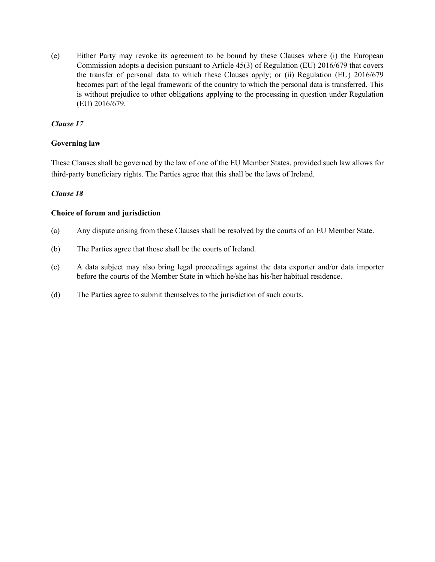(e) Either Party may revoke its agreement to be bound by these Clauses where (i) the European Commission adopts a decision pursuant to Article 45(3) of Regulation (EU) 2016/679 that covers the transfer of personal data to which these Clauses apply; or (ii) Regulation (EU) 2016/679 becomes part of the legal framework of the country to which the personal data is transferred. This is without prejudice to other obligations applying to the processing in question under Regulation (EU) 2016/679.

# *Clause 17*

# **Governing law**

These Clauses shall be governed by the law of one of the EU Member States, provided such law allows for third-party beneficiary rights. The Parties agree that this shall be the laws of Ireland.

# *Clause 18*

### **Choice of forum and jurisdiction**

- (a) Any dispute arising from these Clauses shall be resolved by the courts of an EU Member State.
- (b) The Parties agree that those shall be the courts of Ireland.
- (c) A data subject may also bring legal proceedings against the data exporter and/or data importer before the courts of the Member State in which he/she has his/her habitual residence.
- (d) The Parties agree to submit themselves to the jurisdiction of such courts.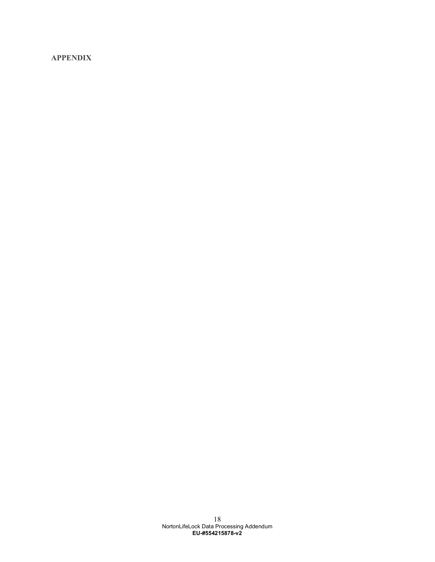# **APPENDIX**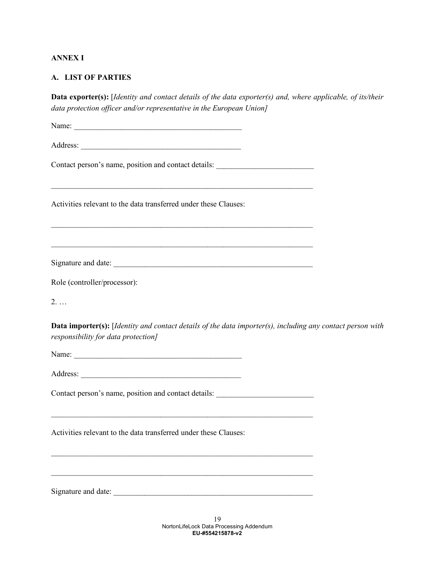# **ANNEX I**

### **A. LIST OF PARTIES**

**Data exporter(s):** [*Identity and contact details of the data exporter(s) and, where applicable, of its/their data protection officer and/or representative in the European Union]*

Name: \_\_\_\_\_\_\_\_\_\_\_\_\_\_\_\_\_\_\_\_\_\_\_\_\_\_\_\_\_\_\_\_\_\_\_\_\_\_\_\_\_\_\_

Address:

Contact person's name, position and contact details:

 $\mathcal{L}_\text{max}$  , and the contract of the contract of the contract of the contract of the contract of the contract of

 $\mathcal{L}_\text{max}$  , and the contribution of the contribution of the contribution of the contribution of the contribution of the contribution of the contribution of the contribution of the contribution of the contribution of t

 $\mathcal{L}_\text{max}$  , and the contract of the contract of the contract of the contract of the contract of the contract of

Activities relevant to the data transferred under these Clauses:

Signature and date:

Role (controller/processor):

2. …

**Data importer(s):** [*Identity and contact details of the data importer(s), including any contact person with responsibility for data protection]*

Name: \_\_\_\_\_\_\_\_\_\_\_\_\_\_\_\_\_\_\_\_\_\_\_\_\_\_\_\_\_\_\_\_\_\_\_\_\_\_\_\_\_\_\_

Address: \_\_\_\_\_\_\_\_\_\_\_\_\_\_\_\_\_\_\_\_\_\_\_\_\_\_\_\_\_\_\_\_\_\_\_\_\_\_\_\_\_

Contact person's name, position and contact details: \_\_\_\_\_\_\_\_\_\_\_\_\_\_\_\_\_\_\_\_\_\_\_\_\_\_\_

 $\mathcal{L}_\text{max}$  , and the contract of the contract of the contract of the contract of the contract of the contract of

 $\mathcal{L}_\text{max}$  , and the contribution of the contribution of the contribution of the contribution of the contribution of the contribution of the contribution of the contribution of the contribution of the contribution of t

\_\_\_\_\_\_\_\_\_\_\_\_\_\_\_\_\_\_\_\_\_\_\_\_\_\_\_\_\_\_\_\_\_\_\_\_\_\_\_\_\_\_\_\_\_\_\_\_\_\_\_\_\_\_\_\_\_\_\_\_\_\_\_\_\_\_\_

Activities relevant to the data transferred under these Clauses:

Signature and date: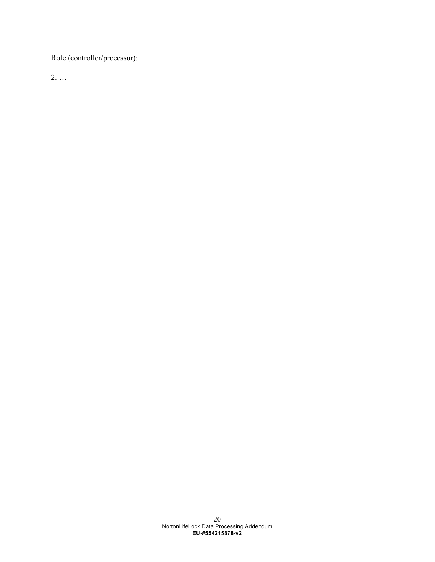Role (controller/processor):

2. …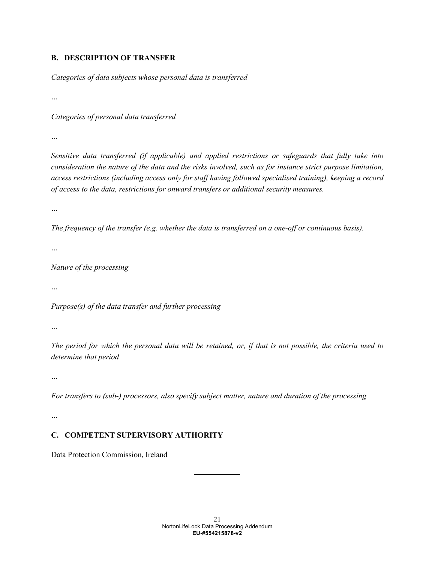### **B. DESCRIPTION OF TRANSFER**

*Categories of data subjects whose personal data is transferred*

*…*

*Categories of personal data transferred*

*…*

*Sensitive data transferred (if applicable) and applied restrictions or safeguards that fully take into consideration the nature of the data and the risks involved, such as for instance strict purpose limitation, access restrictions (including access only for staff having followed specialised training), keeping a record of access to the data, restrictions for onward transfers or additional security measures.*

*…*

*The frequency of the transfer (e.g. whether the data is transferred on a one-off or continuous basis).*

*…*

*Nature of the processing*

*…*

*Purpose(s) of the data transfer and further processing*

*…*

*The period for which the personal data will be retained, or, if that is not possible, the criteria used to determine that period*

*…*

*For transfers to (sub-) processors, also specify subject matter, nature and duration of the processing*

*…*

# **C. COMPETENT SUPERVISORY AUTHORITY**

Data Protection Commission, Ireland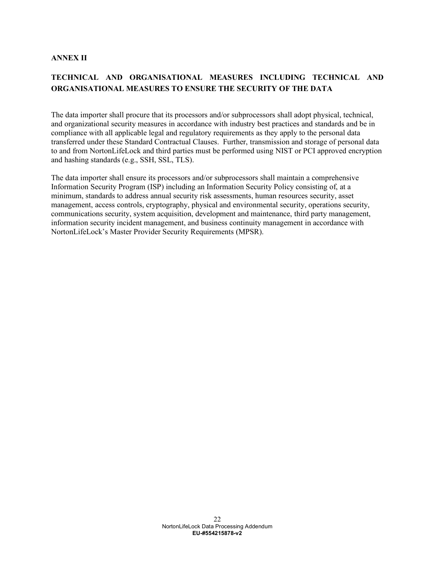### **ANNEX II**

# **TECHNICAL AND ORGANISATIONAL MEASURES INCLUDING TECHNICAL AND ORGANISATIONAL MEASURES TO ENSURE THE SECURITY OF THE DATA**

The data importer shall procure that its processors and/or subprocessors shall adopt physical, technical, and organizational security measures in accordance with industry best practices and standards and be in compliance with all applicable legal and regulatory requirements as they apply to the personal data transferred under these Standard Contractual Clauses. Further, transmission and storage of personal data to and from NortonLifeLock and third parties must be performed using NIST or PCI approved encryption and hashing standards (e.g., SSH, SSL, TLS).

The data importer shall ensure its processors and/or subprocessors shall maintain a comprehensive Information Security Program (ISP) including an Information Security Policy consisting of, at a minimum, standards to address annual security risk assessments, human resources security, asset management, access controls, cryptography, physical and environmental security, operations security, communications security, system acquisition, development and maintenance, third party management, information security incident management, and business continuity management in accordance with NortonLifeLock's Master Provider Security Requirements (MPSR).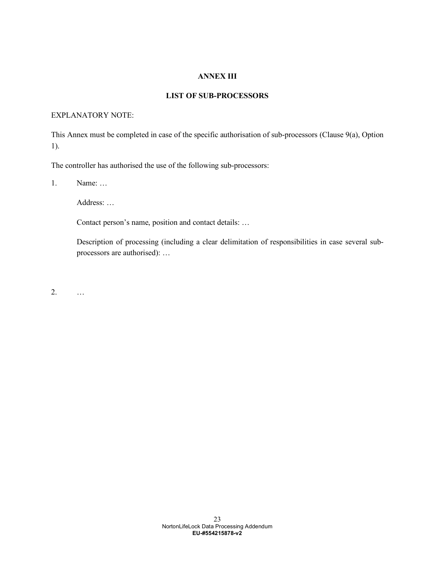### **ANNEX III**

#### **LIST OF SUB-PROCESSORS**

#### EXPLANATORY NOTE:

This Annex must be completed in case of the specific authorisation of sub-processors (Clause 9(a), Option 1).

The controller has authorised the use of the following sub-processors:

1. Name: …

Address: …

Contact person's name, position and contact details: …

Description of processing (including a clear delimitation of responsibilities in case several subprocessors are authorised): …

2. …